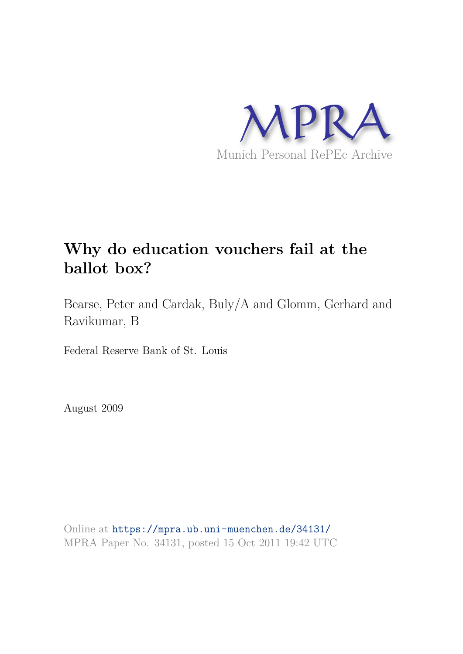

# **Why do education vouchers fail at the ballot box?**

Bearse, Peter and Cardak, Buly/A and Glomm, Gerhard and Ravikumar, B

Federal Reserve Bank of St. Louis

August 2009

Online at https://mpra.ub.uni-muenchen.de/34131/ MPRA Paper No. 34131, posted 15 Oct 2011 19:42 UTC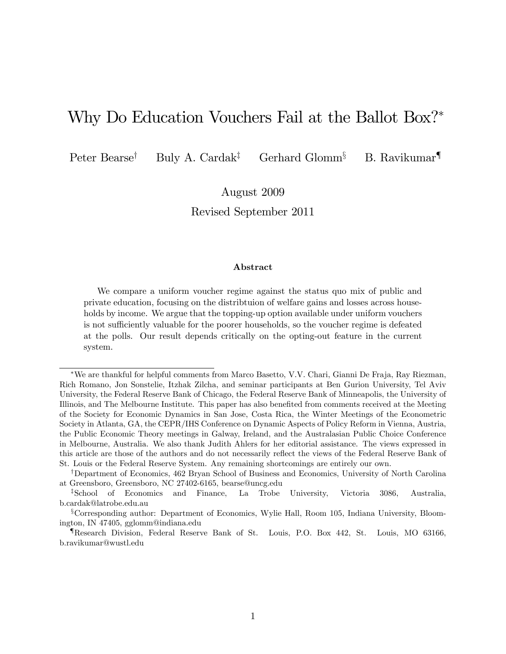# Why Do Education Vouchers Fail at the Ballot Box?<sup>\*</sup>

Peter Bearse<sup>†</sup> Buly A. Cardak<sup>‡</sup> Gerhard Glomm<sup>§</sup> B. Ravikumar<sup>¶</sup>

August 2009

Revised September 2011

#### Abstract

We compare a uniform voucher regime against the status quo mix of public and private education, focusing on the distribtuion of welfare gains and losses across households by income. We argue that the topping-up option available under uniform vouchers is not sufficiently valuable for the poorer households, so the voucher regime is defeated at the polls. Our result depends critically on the opting-out feature in the current system.

We are thankful for helpful comments from Marco Basetto, V.V. Chari, Gianni De Fraja, Ray Riezman, Rich Romano, Jon Sonstelie, Itzhak Zilcha, and seminar participants at Ben Gurion University, Tel Aviv University, the Federal Reserve Bank of Chicago, the Federal Reserve Bank of Minneapolis, the University of Illinois, and The Melbourne Institute. This paper has also benefited from comments received at the Meeting of the Society for Economic Dynamics in San Jose, Costa Rica, the Winter Meetings of the Econometric Society in Atlanta, GA, the CEPR/IHS Conference on Dynamic Aspects of Policy Reform in Vienna, Austria, the Public Economic Theory meetings in Galway, Ireland, and the Australasian Public Choice Conference in Melbourne, Australia. We also thank Judith Ahlers for her editorial assistance. The views expressed in this article are those of the authors and do not necessarily reflect the views of the Federal Reserve Bank of St. Louis or the Federal Reserve System. Any remaining shortcomings are entirely our own.

<sup>&</sup>lt;sup>†</sup>Department of Economics, 462 Bryan School of Business and Economics, University of North Carolina at Greensboro, Greensboro, NC 27402-6165, bearse@uncg.edu

<sup>&</sup>lt;sup>7</sup>School of Economics and Finance, La Trobe University, Victoria 3086, Australia, b.cardak@latrobe.edu.au

<sup>x</sup>Corresponding author: Department of Economics, Wylie Hall, Room 105, Indiana University, Bloomington, IN 47405, gglomm@indiana.edu

<sup>{</sup>Research Division, Federal Reserve Bank of St. Louis, P.O. Box 442, St. Louis, MO 63166, b.ravikumar@wustl.edu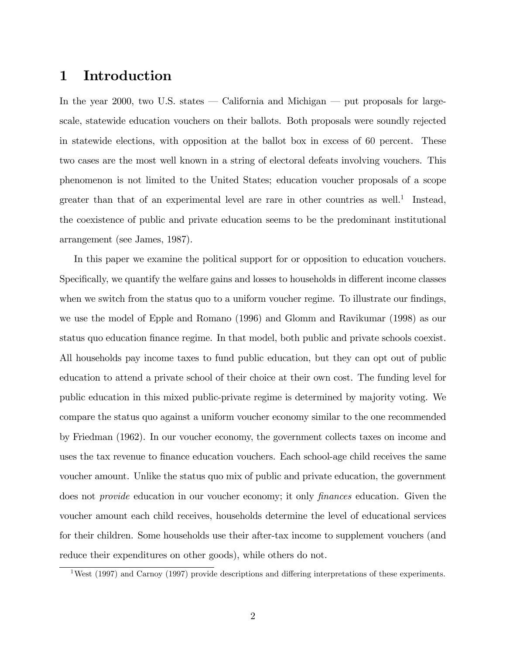# 1 Introduction

In the year 2000, two U.S. states  $\sim$  California and Michigan  $\sim$  put proposals for largescale, statewide education vouchers on their ballots. Both proposals were soundly rejected in statewide elections, with opposition at the ballot box in excess of 60 percent. These two cases are the most well known in a string of electoral defeats involving vouchers. This phenomenon is not limited to the United States; education voucher proposals of a scope greater than that of an experimental level are rare in other countries as well.<sup>1</sup> Instead, the coexistence of public and private education seems to be the predominant institutional arrangement (see James, 1987).

In this paper we examine the political support for or opposition to education vouchers. Specifically, we quantify the welfare gains and losses to households in different income classes when we switch from the status quo to a uniform voucher regime. To illustrate our findings, we use the model of Epple and Romano (1996) and Glomm and Ravikumar (1998) as our status quo education Önance regime. In that model, both public and private schools coexist. All households pay income taxes to fund public education, but they can opt out of public education to attend a private school of their choice at their own cost. The funding level for public education in this mixed public-private regime is determined by majority voting. We compare the status quo against a uniform voucher economy similar to the one recommended by Friedman (1962). In our voucher economy, the government collects taxes on income and uses the tax revenue to finance education vouchers. Each school-age child receives the same voucher amount. Unlike the status quo mix of public and private education, the government does not *provide* education in our voucher economy; it only *finances* education. Given the voucher amount each child receives, households determine the level of educational services for their children. Some households use their after-tax income to supplement vouchers (and reduce their expenditures on other goods), while others do not.

<sup>&</sup>lt;sup>1</sup>West (1997) and Carnoy (1997) provide descriptions and differing interpretations of these experiments.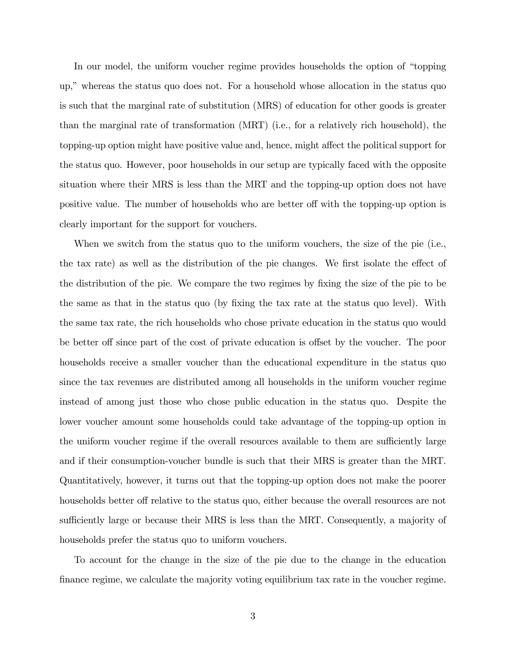In our model, the uniform voucher regime provides households the option of "topping" up,î whereas the status quo does not. For a household whose allocation in the status quo is such that the marginal rate of substitution (MRS) of education for other goods is greater than the marginal rate of transformation (MRT) (i.e., for a relatively rich household), the topping-up option might have positive value and, hence, might affect the political support for the status quo. However, poor households in our setup are typically faced with the opposite situation where their MRS is less than the MRT and the topping-up option does not have positive value. The number of households who are better of with the topping-up option is clearly important for the support for vouchers.

When we switch from the status quo to the uniform vouchers, the size of the pie (i.e., the tax rate) as well as the distribution of the pie changes. We first isolate the effect of the distribution of the pie. We compare the two regimes by fixing the size of the pie to be the same as that in the status quo (by fixing the tax rate at the status quo level). With the same tax rate, the rich households who chose private education in the status quo would be better off since part of the cost of private education is offset by the voucher. The poor households receive a smaller voucher than the educational expenditure in the status quo since the tax revenues are distributed among all households in the uniform voucher regime instead of among just those who chose public education in the status quo. Despite the lower voucher amount some households could take advantage of the topping-up option in the uniform voucher regime if the overall resources available to them are sufficiently large and if their consumption-voucher bundle is such that their MRS is greater than the MRT. Quantitatively, however, it turns out that the topping-up option does not make the poorer households better of relative to the status quo, either because the overall resources are not sufficiently large or because their MRS is less than the MRT. Consequently, a majority of households prefer the status quo to uniform vouchers.

To account for the change in the size of the pie due to the change in the education finance regime, we calculate the majority voting equilibrium tax rate in the voucher regime.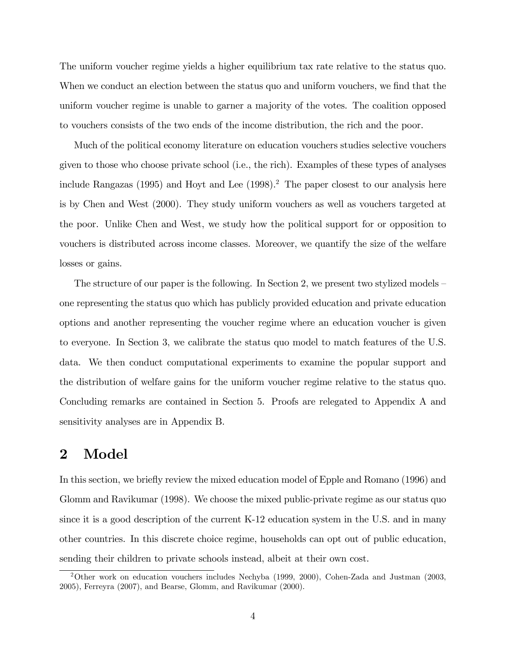The uniform voucher regime yields a higher equilibrium tax rate relative to the status quo. When we conduct an election between the status quo and uniform vouchers, we find that the uniform voucher regime is unable to garner a majority of the votes. The coalition opposed to vouchers consists of the two ends of the income distribution, the rich and the poor.

Much of the political economy literature on education vouchers studies selective vouchers given to those who choose private school (i.e., the rich). Examples of these types of analyses include Rangazas (1995) and Hoyt and Lee (1998).<sup>2</sup> The paper closest to our analysis here is by Chen and West (2000). They study uniform vouchers as well as vouchers targeted at the poor. Unlike Chen and West, we study how the political support for or opposition to vouchers is distributed across income classes. Moreover, we quantify the size of the welfare losses or gains.

The structure of our paper is the following. In Section 2, we present two stylized models  $$ one representing the status quo which has publicly provided education and private education options and another representing the voucher regime where an education voucher is given to everyone. In Section 3, we calibrate the status quo model to match features of the U.S. data. We then conduct computational experiments to examine the popular support and the distribution of welfare gains for the uniform voucher regime relative to the status quo. Concluding remarks are contained in Section 5. Proofs are relegated to Appendix A and sensitivity analyses are in Appendix B.

# 2 Model

In this section, we briefly review the mixed education model of Epple and Romano (1996) and Glomm and Ravikumar (1998). We choose the mixed public-private regime as our status quo since it is a good description of the current K-12 education system in the U.S. and in many other countries. In this discrete choice regime, households can opt out of public education, sending their children to private schools instead, albeit at their own cost.

 $2$ Other work on education vouchers includes Nechyba (1999, 2000), Cohen-Zada and Justman (2003, 2005), Ferreyra (2007), and Bearse, Glomm, and Ravikumar (2000).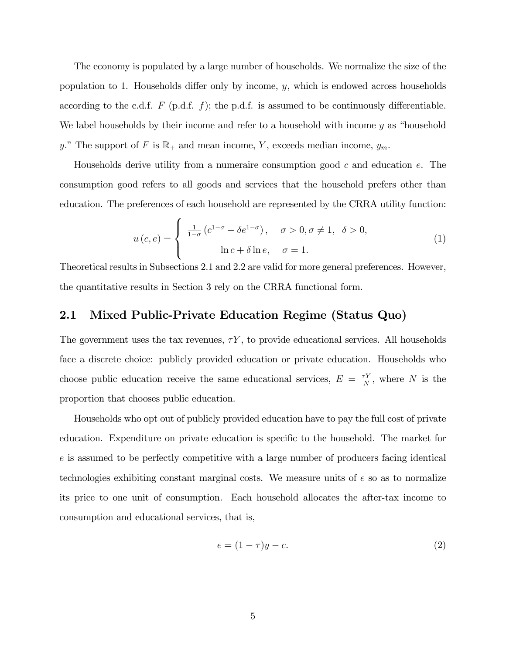The economy is populated by a large number of households. We normalize the size of the population to 1. Households differ only by income,  $y$ , which is endowed across households according to the c.d.f.  $F$  (p.d.f.  $f$ ); the p.d.f. is assumed to be continuously differentiable. We label households by their income and refer to a household with income  $y$  as "household y." The support of F is  $\mathbb{R}_+$  and mean income, Y, exceeds median income,  $y_m$ .

Households derive utility from a numeraire consumption good  $c$  and education  $e$ . The consumption good refers to all goods and services that the household prefers other than education. The preferences of each household are represented by the CRRA utility function:

$$
u(c,e) = \begin{cases} \frac{1}{1-\sigma} (c^{1-\sigma} + \delta e^{1-\sigma}), & \sigma > 0, \sigma \neq 1, \delta > 0, \\ \ln c + \delta \ln e, & \sigma = 1. \end{cases}
$$
(1)

Theoretical results in Subsections 2.1 and 2.2 are valid for more general preferences. However, the quantitative results in Section 3 rely on the CRRA functional form.

#### 2.1 Mixed Public-Private Education Regime (Status Quo)

The government uses the tax revenues,  $\tau Y$ , to provide educational services. All households face a discrete choice: publicly provided education or private education. Households who choose public education receive the same educational services,  $E = \frac{\tau Y}{N}$  $\frac{rY}{N}$ , where N is the proportion that chooses public education.

Households who opt out of publicly provided education have to pay the full cost of private education. Expenditure on private education is specific to the household. The market for e is assumed to be perfectly competitive with a large number of producers facing identical technologies exhibiting constant marginal costs. We measure units of  $e$  so as to normalize its price to one unit of consumption. Each household allocates the after-tax income to consumption and educational services, that is,

$$
e = (1 - \tau)y - c.\tag{2}
$$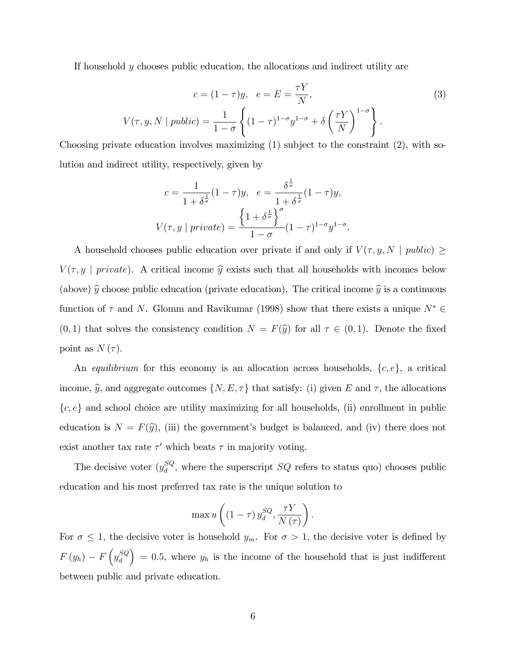If household y chooses public education, the allocations and indirect utility are

$$
c = (1 - \tau)y, \quad e = E = \frac{\tau Y}{N},
$$
  
\n
$$
V(\tau, y, N \mid public) = \frac{1}{1 - \sigma} \left\{ (1 - \tau)^{1 - \sigma} y^{1 - \sigma} + \delta \left( \frac{\tau Y}{N} \right)^{1 - \sigma} \right\}.
$$
\n(3)

Choosing private education involves maximizing (1) subject to the constraint (2), with solution and indirect utility, respectively, given by

$$
c = \frac{1}{1 + \delta^{\frac{1}{\sigma}}}(1 - \tau)y, \quad e = \frac{\delta^{\frac{1}{\sigma}}}{1 + \delta^{\frac{1}{\sigma}}}(1 - \tau)y,
$$

$$
V(\tau, y \mid private) = \frac{\left\{1 + \delta^{\frac{1}{\sigma}}\right\}^{\sigma}}{1 - \sigma}(1 - \tau)^{1 - \sigma}y^{1 - \sigma}.
$$

A household chooses public education over private if and only if  $V(\tau, y, N \mid public) \ge$  $V(\tau, y \mid private)$ . A critical income  $\hat{y}$  exists such that all households with incomes below (above)  $\hat{y}$  choose public education (private education). The critical income  $\hat{y}$  is a continuous function of  $\tau$  and N. Glomm and Ravikumar (1998) show that there exists a unique  $N^* \in$  $(0, 1)$  that solves the consistency condition  $N = F(\hat{y})$  for all  $\tau \in (0, 1)$ . Denote the fixed point as  $N(\tau)$ .

An equilibrium for this economy is an allocation across households,  ${c, e}$ , a critical income,  $\hat{y}$ , and aggregate outcomes  $\{N, E, \tau\}$  that satisfy: (i) given E and  $\tau$ , the allocations  ${c, e}$  and school choice are utility maximizing for all households, (ii) enrollment in public education is  $N = F(\hat{y})$ , (iii) the government's budget is balanced, and (iv) there does not exist another tax rate  $\tau'$  which beats  $\tau$  in majority voting.

The decisive voter  $(y_d^{SQ})$  $d_d^{\text{SQ}}$ , where the superscript  $SQ$  refers to status quo) chooses public education and his most preferred tax rate is the unique solution to

$$
\max u\left(\left(1-\tau\right)y_d^{SQ}, \frac{\tau Y}{N\left(\tau\right)}\right)
$$

:

For  $\sigma \leq 1$ , the decisive voter is household  $y_m$ . For  $\sigma > 1$ , the decisive voter is defined by  $F(y_h) - F(y_d^{SQ})$ d  $= 0.5$ , where  $y_h$  is the income of the household that is just indifferent between public and private education.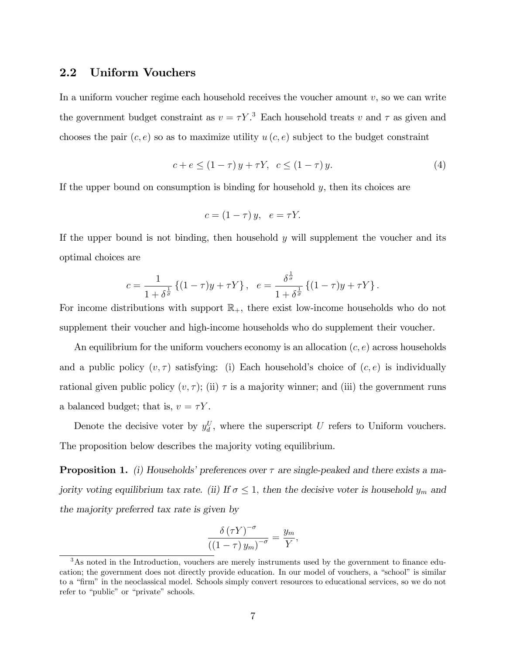#### 2.2 Uniform Vouchers

In a uniform voucher regime each household receives the voucher amount  $v$ , so we can write the government budget constraint as  $v = \tau Y$ .<sup>3</sup> Each household treats v and  $\tau$  as given and chooses the pair  $(c, e)$  so as to maximize utility  $u(c, e)$  subject to the budget constraint

$$
c + e \le (1 - \tau) y + \tau Y, \ c \le (1 - \tau) y.
$$
 (4)

If the upper bound on consumption is binding for household  $y$ , then its choices are

$$
c = (1 - \tau) y, \quad e = \tau Y.
$$

If the upper bound is not binding, then household  $y$  will supplement the voucher and its optimal choices are

$$
c = \frac{1}{1+\delta^{\frac{1}{\sigma}}} \left\{ (1-\tau)y + \tau Y \right\}, \quad e = \frac{\delta^{\frac{1}{\sigma}}}{1+\delta^{\frac{1}{\sigma}}} \left\{ (1-\tau)y + \tau Y \right\}.
$$

For income distributions with support  $\mathbb{R}_+$ , there exist low-income households who do not supplement their voucher and high-income households who do supplement their voucher.

An equilibrium for the uniform vouchers economy is an allocation  $(c, e)$  across households and a public policy  $(v, \tau)$  satisfying: (i) Each household's choice of  $(c, e)$  is individually rational given public policy  $(v, \tau)$ ; (ii)  $\tau$  is a majority winner; and (iii) the government runs a balanced budget; that is,  $v = \tau Y$ .

Denote the decisive voter by  $y_d^U$ , where the superscript U refers to Uniform vouchers. The proposition below describes the majority voting equilibrium.

**Proposition 1.** (i) Households' preferences over  $\tau$  are single-peaked and there exists a majority voting equilibrium tax rate. (ii) If  $\sigma \leq 1$ , then the decisive voter is household  $y_m$  and the majority preferred tax rate is given by

$$
\frac{\delta\left(\tau Y\right)^{-\sigma}}{\left(\left(1-\tau\right)y_m\right)^{-\sigma}} = \frac{y_m}{Y},
$$

 $3$ As noted in the Introduction, vouchers are merely instruments used by the government to finance education; the government does not directly provide education. In our model of vouchers, a "school" is similar to a "firm" in the neoclassical model. Schools simply convert resources to educational services, so we do not refer to "public" or "private" schools.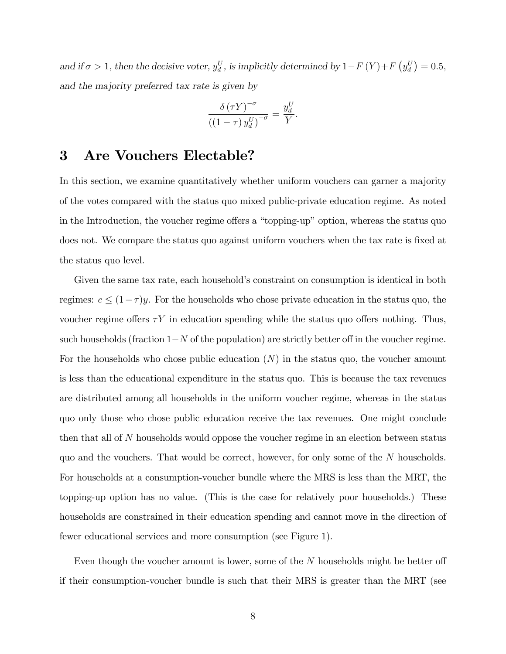and if  $\sigma > 1$ , then the decisive voter,  $y_d^U$ , is implicitly determined by  $1-F(Y)+F(y_d^U)=0.5$ , and the majority preferred tax rate is given by

$$
\frac{\delta\left(\tau Y\right)^{-\sigma}}{\left(\left(1-\tau\right)y_d^U\right)^{-\sigma}} = \frac{y_d^U}{Y}.
$$

### 3 Are Vouchers Electable?

In this section, we examine quantitatively whether uniform vouchers can garner a majority of the votes compared with the status quo mixed public-private education regime. As noted in the Introduction, the voucher regime offers a "topping-up" option, whereas the status quo does not. We compare the status quo against uniform vouchers when the tax rate is fixed at the status quo level.

Given the same tax rate, each household's constraint on consumption is identical in both regimes:  $c \leq (1 - \tau)y$ . For the households who chose private education in the status quo, the voucher regime offers  $\tau Y$  in education spending while the status quo offers nothing. Thus, such households (fraction  $1-N$  of the population) are strictly better off in the voucher regime. For the households who chose public education  $(N)$  in the status quo, the voucher amount is less than the educational expenditure in the status quo. This is because the tax revenues are distributed among all households in the uniform voucher regime, whereas in the status quo only those who chose public education receive the tax revenues. One might conclude then that all of N households would oppose the voucher regime in an election between status quo and the vouchers. That would be correct, however, for only some of the N households. For households at a consumption-voucher bundle where the MRS is less than the MRT, the topping-up option has no value. (This is the case for relatively poor households.) These households are constrained in their education spending and cannot move in the direction of fewer educational services and more consumption (see Figure 1).

Even though the voucher amount is lower, some of the  $N$  households might be better off if their consumption-voucher bundle is such that their MRS is greater than the MRT (see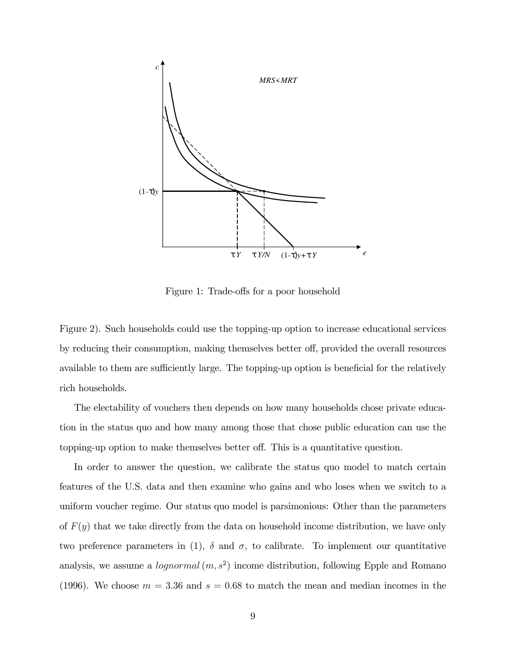

Figure 1: Trade-offs for a poor household

Figure 2). Such households could use the topping-up option to increase educational services by reducing their consumption, making themselves better off, provided the overall resources available to them are sufficiently large. The topping-up option is beneficial for the relatively rich households.

The electability of vouchers then depends on how many households chose private education in the status quo and how many among those that chose public education can use the topping-up option to make themselves better off. This is a quantitative question.

In order to answer the question, we calibrate the status quo model to match certain features of the U.S. data and then examine who gains and who loses when we switch to a uniform voucher regime. Our status quo model is parsimonious: Other than the parameters of  $F(y)$  that we take directly from the data on household income distribution, we have only two preference parameters in (1),  $\delta$  and  $\sigma$ , to calibrate. To implement our quantitative analysis, we assume a *lognormal*  $(m, s^2)$  income distribution, following Epple and Romano (1996). We choose  $m = 3.36$  and  $s = 0.68$  to match the mean and median incomes in the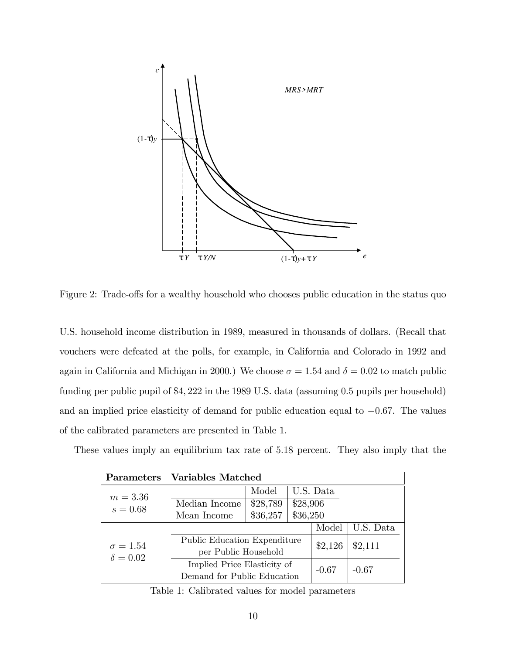

Figure 2: Trade-offs for a wealthy household who chooses public education in the status quo

U.S. household income distribution in 1989, measured in thousands of dollars. (Recall that vouchers were defeated at the polls, for example, in California and Colorado in 1992 and again in California and Michigan in 2000.) We choose  $\sigma = 1.54$  and  $\delta = 0.02$  to match public funding per public pupil of \$4; 222 in the 1989 U.S. data (assuming 0:5 pupils per household) and an implied price elasticity of demand for public education equal to  $-0.67$ . The values of the calibrated parameters are presented in Table 1.

These values imply an equilibrium tax rate of 5:18 percent. They also imply that the

| Parameters      | Variables Matched                   |          |          |           |           |  |
|-----------------|-------------------------------------|----------|----------|-----------|-----------|--|
| $m = 3.36$      |                                     | Model    |          | U.S. Data |           |  |
| $s = 0.68$      | Median Income                       | \$28,789 | \$28,906 |           |           |  |
|                 | Mean Income                         | \$36,257 | \$36,250 |           |           |  |
|                 |                                     |          |          | Model     | U.S. Data |  |
| $\sigma = 1.54$ | <b>Public Education Expenditure</b> |          |          | \$2,126   | \$2,111   |  |
| $\delta = 0.02$ | per Public Household                |          |          |           |           |  |
|                 | Implied Price Elasticity of         |          |          | $-0.67$   | $-0.67$   |  |
|                 | Demand for Public Education         |          |          |           |           |  |

Table 1: Calibrated values for model parameters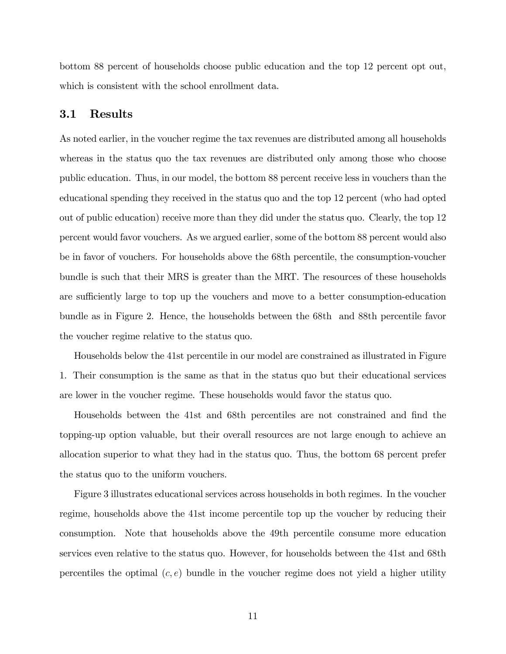bottom 88 percent of households choose public education and the top 12 percent opt out, which is consistent with the school enrollment data.

#### 3.1 Results

As noted earlier, in the voucher regime the tax revenues are distributed among all households whereas in the status quo the tax revenues are distributed only among those who choose public education. Thus, in our model, the bottom 88 percent receive less in vouchers than the educational spending they received in the status quo and the top 12 percent (who had opted out of public education) receive more than they did under the status quo. Clearly, the top 12 percent would favor vouchers. As we argued earlier, some of the bottom 88 percent would also be in favor of vouchers. For households above the 68th percentile, the consumption-voucher bundle is such that their MRS is greater than the MRT. The resources of these households are sufficiently large to top up the vouchers and move to a better consumption-education bundle as in Figure 2. Hence, the households between the 68th and 88th percentile favor the voucher regime relative to the status quo.

Households below the 41st percentile in our model are constrained as illustrated in Figure 1. Their consumption is the same as that in the status quo but their educational services are lower in the voucher regime. These households would favor the status quo.

Households between the 41st and 68th percentiles are not constrained and find the topping-up option valuable, but their overall resources are not large enough to achieve an allocation superior to what they had in the status quo. Thus, the bottom 68 percent prefer the status quo to the uniform vouchers.

Figure 3 illustrates educational services across households in both regimes. In the voucher regime, households above the 41st income percentile top up the voucher by reducing their consumption. Note that households above the 49th percentile consume more education services even relative to the status quo. However, for households between the 41st and 68th percentiles the optimal  $(c, e)$  bundle in the voucher regime does not yield a higher utility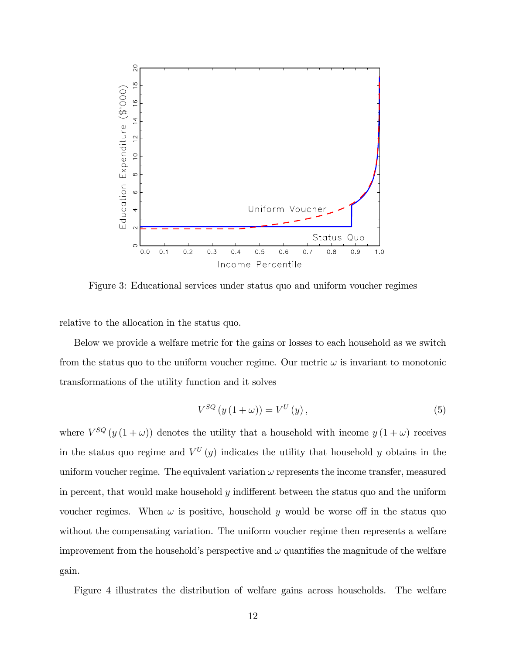

Figure 3: Educational services under status quo and uniform voucher regimes

relative to the allocation in the status quo.

Below we provide a welfare metric for the gains or losses to each household as we switch from the status quo to the uniform voucher regime. Our metric  $\omega$  is invariant to monotonic transformations of the utility function and it solves

$$
V^{SQ} (y (1 + \omega)) = V^{U} (y), \qquad (5)
$$

where  $V^{SQ}(y(1+\omega))$  denotes the utility that a household with income  $y(1+\omega)$  receives in the status quo regime and  $V^U(y)$  indicates the utility that household y obtains in the uniform voucher regime. The equivalent variation  $\omega$  represents the income transfer, measured in percent, that would make household  $y$  indifferent between the status quo and the uniform voucher regimes. When  $\omega$  is positive, household y would be worse off in the status quo without the compensating variation. The uniform voucher regime then represents a welfare improvement from the household's perspective and  $\omega$  quantifies the magnitude of the welfare gain.

Figure 4 illustrates the distribution of welfare gains across households. The welfare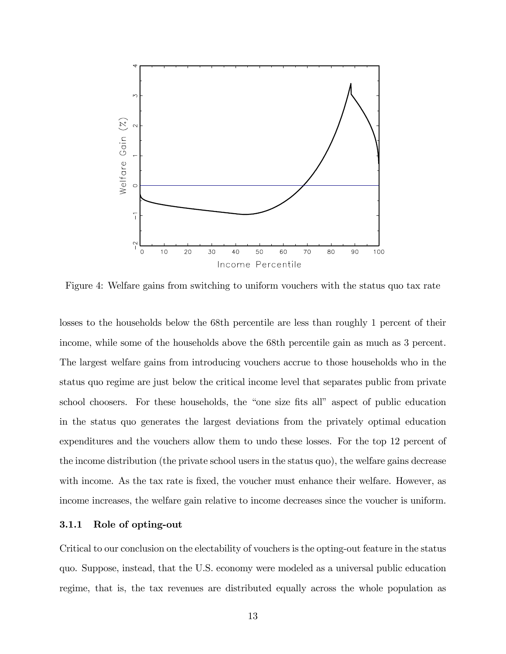

Figure 4: Welfare gains from switching to uniform vouchers with the status quo tax rate

losses to the households below the 68th percentile are less than roughly 1 percent of their income, while some of the households above the 68th percentile gain as much as 3 percent. The largest welfare gains from introducing vouchers accrue to those households who in the status quo regime are just below the critical income level that separates public from private school choosers. For these households, the "one size fits all" aspect of public education in the status quo generates the largest deviations from the privately optimal education expenditures and the vouchers allow them to undo these losses. For the top 12 percent of the income distribution (the private school users in the status quo), the welfare gains decrease with income. As the tax rate is fixed, the voucher must enhance their welfare. However, as income increases, the welfare gain relative to income decreases since the voucher is uniform.

#### 3.1.1 Role of opting-out

Critical to our conclusion on the electability of vouchers is the opting-out feature in the status quo. Suppose, instead, that the U.S. economy were modeled as a universal public education regime, that is, the tax revenues are distributed equally across the whole population as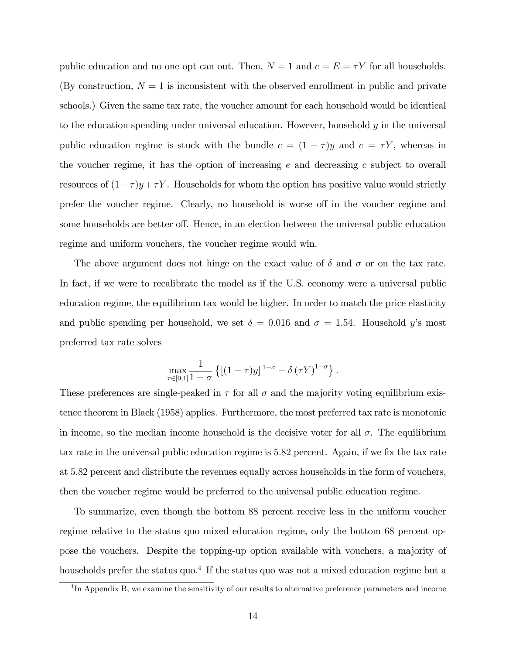public education and no one opt can out. Then,  $N = 1$  and  $e = E = \tau Y$  for all households. (By construction,  $N = 1$  is inconsistent with the observed enrollment in public and private schools.) Given the same tax rate, the voucher amount for each household would be identical to the education spending under universal education. However, household y in the universal public education regime is stuck with the bundle  $c = (1 - \tau)y$  and  $e = \tau Y$ , whereas in the voucher regime, it has the option of increasing  $e$  and decreasing  $c$  subject to overall resources of  $(1 - \tau)y + \tau Y$ . Households for whom the option has positive value would strictly prefer the voucher regime. Clearly, no household is worse off in the voucher regime and some households are better off. Hence, in an election between the universal public education regime and uniform vouchers, the voucher regime would win.

The above argument does not hinge on the exact value of  $\delta$  and  $\sigma$  or on the tax rate. In fact, if we were to recalibrate the model as if the U.S. economy were a universal public education regime, the equilibrium tax would be higher. In order to match the price elasticity and public spending per household, we set  $\delta = 0.016$  and  $\sigma = 1.54$ . Household y's most preferred tax rate solves

$$
\max_{\tau \in [0,1]} \frac{1}{1-\sigma} \left\{ \left[ (1-\tau)y \right]^{1-\sigma} + \delta \left( \tau Y \right)^{1-\sigma} \right\}.
$$

These preferences are single-peaked in  $\tau$  for all  $\sigma$  and the majority voting equilibrium existence theorem in Black (1958) applies. Furthermore, the most preferred tax rate is monotonic in income, so the median income household is the decisive voter for all  $\sigma$ . The equilibrium tax rate in the universal public education regime is 5.82 percent. Again, if we fix the tax rate at 5:82 percent and distribute the revenues equally across households in the form of vouchers, then the voucher regime would be preferred to the universal public education regime.

To summarize, even though the bottom 88 percent receive less in the uniform voucher regime relative to the status quo mixed education regime, only the bottom 68 percent oppose the vouchers. Despite the topping-up option available with vouchers, a majority of households prefer the status quo.<sup>4</sup> If the status quo was not a mixed education regime but a

<sup>&</sup>lt;sup>4</sup>In Appendix B, we examine the sensitivity of our results to alternative preference parameters and income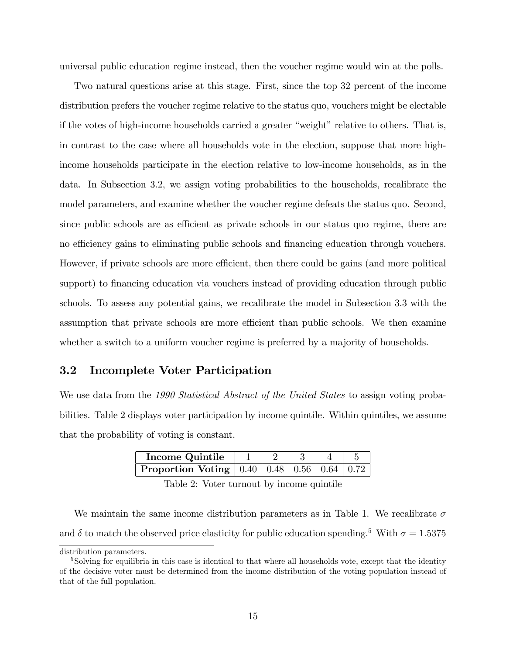universal public education regime instead, then the voucher regime would win at the polls.

Two natural questions arise at this stage. First, since the top 32 percent of the income distribution prefers the voucher regime relative to the status quo, vouchers might be electable if the votes of high-income households carried a greater "weight" relative to others. That is, in contrast to the case where all households vote in the election, suppose that more highincome households participate in the election relative to low-income households, as in the data. In Subsection 3.2, we assign voting probabilities to the households, recalibrate the model parameters, and examine whether the voucher regime defeats the status quo. Second, since public schools are as efficient as private schools in our status quo regime, there are no efficiency gains to eliminating public schools and financing education through vouchers. However, if private schools are more efficient, then there could be gains (and more political support) to financing education via vouchers instead of providing education through public schools. To assess any potential gains, we recalibrate the model in Subsection 3.3 with the assumption that private schools are more efficient than public schools. We then examine whether a switch to a uniform voucher regime is preferred by a majority of households.

#### 3.2 Incomplete Voter Participation

We use data from the 1990 Statistical Abstract of the United States to assign voting probabilities. Table 2 displays voter participation by income quintile. Within quintiles, we assume that the probability of voting is constant.

| Income Quintile                                                                   |  |  |  |
|-----------------------------------------------------------------------------------|--|--|--|
| <b>Proportion Voting</b> $\vert 0.40 \vert 0.48 \vert 0.56 \vert 0.64 \vert 0.72$ |  |  |  |

Table 2: Voter turnout by income quintile

We maintain the same income distribution parameters as in Table 1. We recalibrate  $\sigma$ and  $\delta$  to match the observed price elasticity for public education spending.<sup>5</sup> With  $\sigma = 1.5375$ 

distribution parameters.

<sup>&</sup>lt;sup>5</sup>Solving for equilibria in this case is identical to that where all households vote, except that the identity of the decisive voter must be determined from the income distribution of the voting population instead of that of the full population.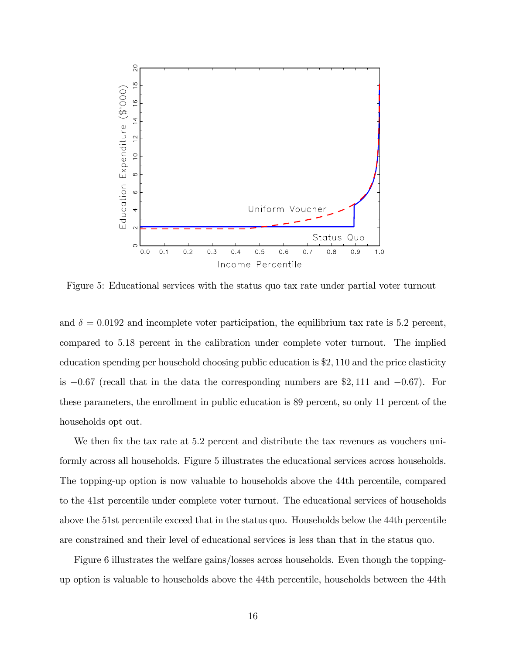

Figure 5: Educational services with the status quo tax rate under partial voter turnout

and  $\delta = 0.0192$  and incomplete voter participation, the equilibrium tax rate is 5.2 percent, compared to 5:18 percent in the calibration under complete voter turnout. The implied education spending per household choosing public education is \$2; 110 and the price elasticity is  $-0.67$  (recall that in the data the corresponding numbers are \$2,111 and  $-0.67$ ). For these parameters, the enrollment in public education is 89 percent, so only 11 percent of the households opt out.

We then fix the tax rate at 5.2 percent and distribute the tax revenues as vouchers uniformly across all households. Figure 5 illustrates the educational services across households. The topping-up option is now valuable to households above the 44th percentile, compared to the 41st percentile under complete voter turnout. The educational services of households above the 51st percentile exceed that in the status quo. Households below the 44th percentile are constrained and their level of educational services is less than that in the status quo.

Figure 6 illustrates the welfare gains/losses across households. Even though the toppingup option is valuable to households above the 44th percentile, households between the 44th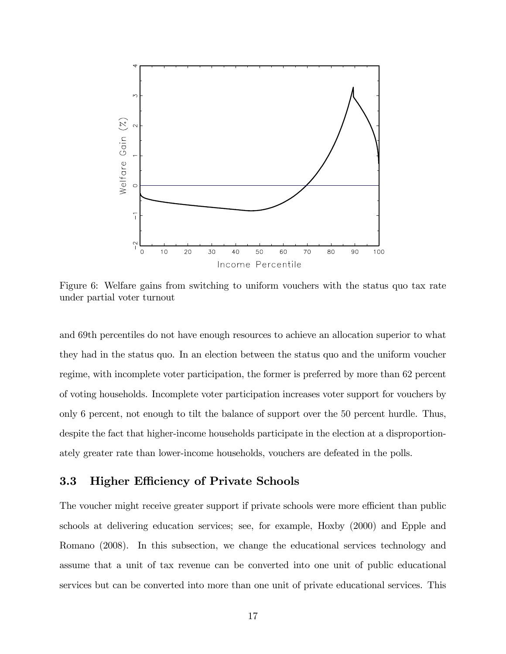

Figure 6: Welfare gains from switching to uniform vouchers with the status quo tax rate under partial voter turnout

and 69th percentiles do not have enough resources to achieve an allocation superior to what they had in the status quo. In an election between the status quo and the uniform voucher regime, with incomplete voter participation, the former is preferred by more than 62 percent of voting households. Incomplete voter participation increases voter support for vouchers by only 6 percent, not enough to tilt the balance of support over the 50 percent hurdle. Thus, despite the fact that higher-income households participate in the election at a disproportionately greater rate than lower-income households, vouchers are defeated in the polls.

### 3.3 Higher Efficiency of Private Schools

The voucher might receive greater support if private schools were more efficient than public schools at delivering education services; see, for example, Hoxby (2000) and Epple and Romano (2008). In this subsection, we change the educational services technology and assume that a unit of tax revenue can be converted into one unit of public educational services but can be converted into more than one unit of private educational services. This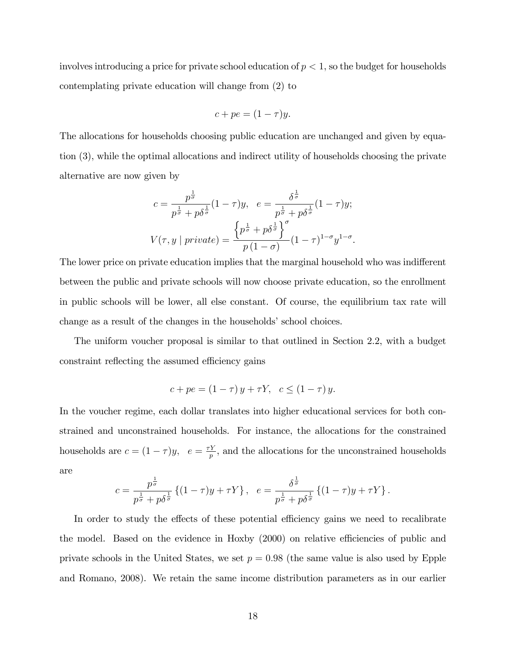involves introducing a price for private school education of  $p < 1$ , so the budget for households contemplating private education will change from (2) to

$$
c + pe = (1 - \tau)y.
$$

The allocations for households choosing public education are unchanged and given by equation (3), while the optimal allocations and indirect utility of households choosing the private alternative are now given by

$$
c = \frac{p^{\frac{1}{\sigma}}}{p^{\frac{1}{\sigma}} + p\delta^{\frac{1}{\sigma}}}(1-\tau)y, \ \ e = \frac{\delta^{\frac{1}{\sigma}}}{p^{\frac{1}{\sigma}} + p\delta^{\frac{1}{\sigma}}}(1-\tau)y;
$$

$$
V(\tau, y \mid private) = \frac{\left\{p^{\frac{1}{\sigma}} + p\delta^{\frac{1}{\sigma}}\right\}^{\sigma}}{p(1-\sigma)}(1-\tau)^{1-\sigma}y^{1-\sigma}.
$$

The lower price on private education implies that the marginal household who was indifferent between the public and private schools will now choose private education, so the enrollment in public schools will be lower, all else constant. Of course, the equilibrium tax rate will change as a result of the changes in the households' school choices.

The uniform voucher proposal is similar to that outlined in Section 2.2, with a budget constraint reflecting the assumed efficiency gains

$$
c + pe = (1 - \tau) y + \tau Y, \quad c \le (1 - \tau) y.
$$

In the voucher regime, each dollar translates into higher educational services for both constrained and unconstrained households. For instance, the allocations for the constrained households are  $c = (1 - \tau)y$ ,  $e = \frac{\tau Y}{n}$  $\frac{y}{p}$ , and the allocations for the unconstrained households are

$$
c = \frac{p^{\frac{1}{\sigma}}}{p^{\frac{1}{\sigma}} + p\delta^{\frac{1}{\sigma}}} \left\{ (1-\tau)y + \tau Y \right\}, \quad e = \frac{\delta^{\frac{1}{\sigma}}}{p^{\frac{1}{\sigma}} + p\delta^{\frac{1}{\sigma}}} \left\{ (1-\tau)y + \tau Y \right\}.
$$

In order to study the effects of these potential efficiency gains we need to recalibrate the model. Based on the evidence in Hoxby (2000) on relative efficiencies of public and private schools in the United States, we set  $p = 0.98$  (the same value is also used by Epple and Romano, 2008). We retain the same income distribution parameters as in our earlier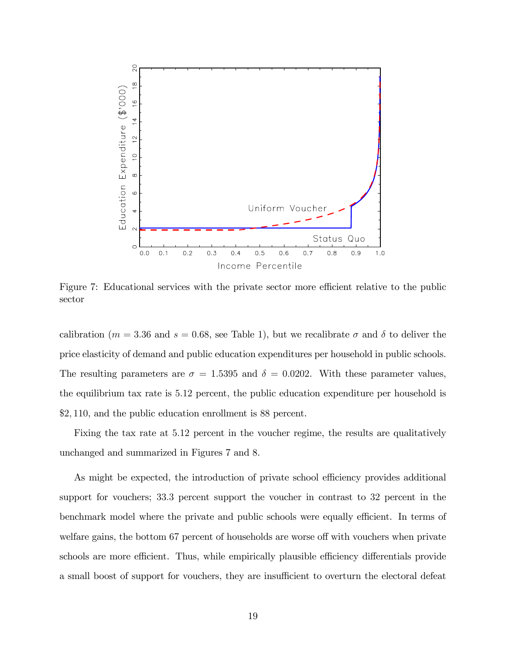

Figure 7: Educational services with the private sector more efficient relative to the public sector

calibration ( $m = 3.36$  and  $s = 0.68$ , see Table 1), but we recalibrate  $\sigma$  and  $\delta$  to deliver the price elasticity of demand and public education expenditures per household in public schools. The resulting parameters are  $\sigma = 1.5395$  and  $\delta = 0.0202$ . With these parameter values, the equilibrium tax rate is 5:12 percent, the public education expenditure per household is \$2,110, and the public education enrollment is 88 percent.

Fixing the tax rate at 5:12 percent in the voucher regime, the results are qualitatively unchanged and summarized in Figures 7 and 8.

As might be expected, the introduction of private school efficiency provides additional support for vouchers; 33:3 percent support the voucher in contrast to 32 percent in the benchmark model where the private and public schools were equally efficient. In terms of welfare gains, the bottom 67 percent of households are worse off with vouchers when private schools are more efficient. Thus, while empirically plausible efficiency differentials provide a small boost of support for vouchers, they are insufficient to overturn the electoral defeat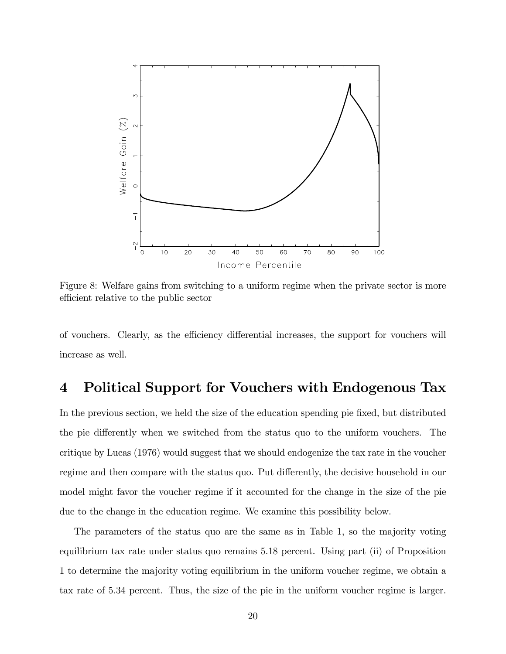

Figure 8: Welfare gains from switching to a uniform regime when the private sector is more efficient relative to the public sector

of vouchers. Clearly, as the efficiency differential increases, the support for vouchers will increase as well.

# 4 Political Support for Vouchers with Endogenous Tax

In the previous section, we held the size of the education spending pie fixed, but distributed the pie differently when we switched from the status quo to the uniform vouchers. The critique by Lucas (1976) would suggest that we should endogenize the tax rate in the voucher regime and then compare with the status quo. Put differently, the decisive household in our model might favor the voucher regime if it accounted for the change in the size of the pie due to the change in the education regime. We examine this possibility below.

The parameters of the status quo are the same as in Table 1, so the majority voting equilibrium tax rate under status quo remains 5:18 percent. Using part (ii) of Proposition 1 to determine the majority voting equilibrium in the uniform voucher regime, we obtain a tax rate of 5:34 percent. Thus, the size of the pie in the uniform voucher regime is larger.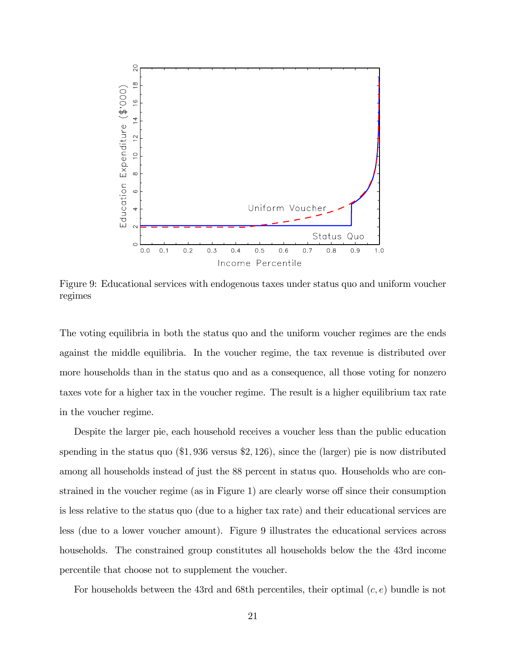

Figure 9: Educational services with endogenous taxes under status quo and uniform voucher regimes

The voting equilibria in both the status quo and the uniform voucher regimes are the ends against the middle equilibria. In the voucher regime, the tax revenue is distributed over more households than in the status quo and as a consequence, all those voting for nonzero taxes vote for a higher tax in the voucher regime. The result is a higher equilibrium tax rate in the voucher regime.

Despite the larger pie, each household receives a voucher less than the public education spending in the status quo  $(\text{$}1, 936)$  versus  $\text{$}2, 126)$ , since the (larger) pie is now distributed among all households instead of just the 88 percent in status quo. Households who are constrained in the voucher regime (as in Figure 1) are clearly worse off since their consumption is less relative to the status quo (due to a higher tax rate) and their educational services are less (due to a lower voucher amount). Figure 9 illustrates the educational services across households. The constrained group constitutes all households below the the 43rd income percentile that choose not to supplement the voucher.

For households between the 43rd and 68th percentiles, their optimal  $(c, e)$  bundle is not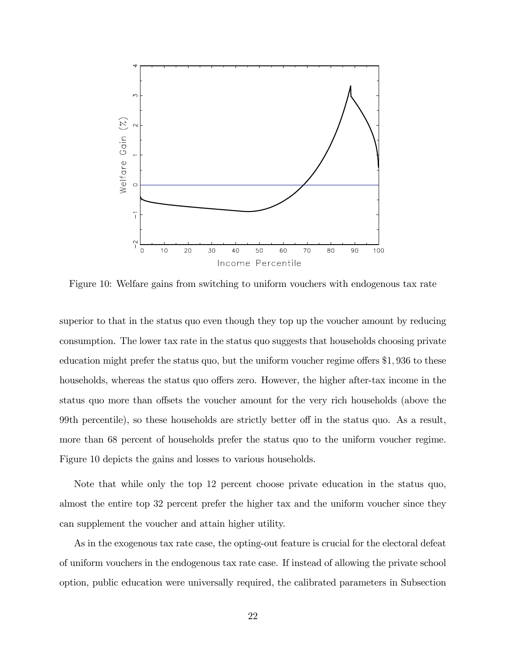

Figure 10: Welfare gains from switching to uniform vouchers with endogenous tax rate

superior to that in the status quo even though they top up the voucher amount by reducing consumption. The lower tax rate in the status quo suggests that households choosing private education might prefer the status quo, but the uniform voucher regime offers  $$1,936$  to these households, whereas the status quo offers zero. However, the higher after-tax income in the status quo more than offsets the voucher amount for the very rich households (above the 99th percentile), so these households are strictly better off in the status quo. As a result, more than 68 percent of households prefer the status quo to the uniform voucher regime. Figure 10 depicts the gains and losses to various households.

Note that while only the top 12 percent choose private education in the status quo, almost the entire top 32 percent prefer the higher tax and the uniform voucher since they can supplement the voucher and attain higher utility.

As in the exogenous tax rate case, the opting-out feature is crucial for the electoral defeat of uniform vouchers in the endogenous tax rate case. If instead of allowing the private school option, public education were universally required, the calibrated parameters in Subsection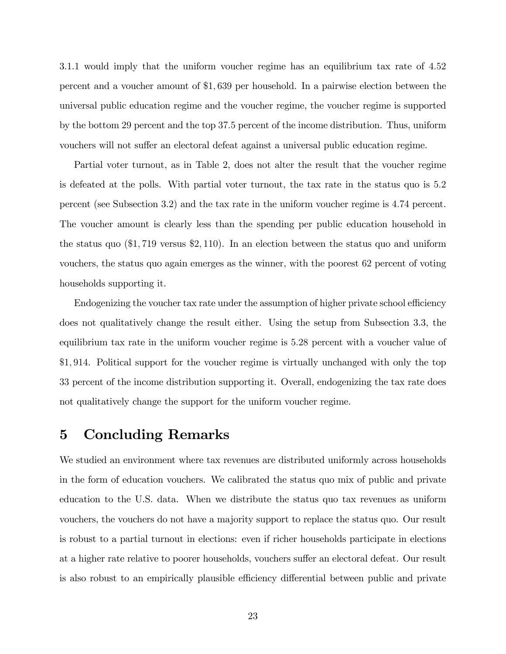3.1.1 would imply that the uniform voucher regime has an equilibrium tax rate of 4:52 percent and a voucher amount of \$1; 639 per household. In a pairwise election between the universal public education regime and the voucher regime, the voucher regime is supported by the bottom 29 percent and the top 37:5 percent of the income distribution. Thus, uniform vouchers will not suffer an electoral defeat against a universal public education regime.

Partial voter turnout, as in Table 2, does not alter the result that the voucher regime is defeated at the polls. With partial voter turnout, the tax rate in the status quo is 5:2 percent (see Subsection 3.2) and the tax rate in the uniform voucher regime is 4:74 percent. The voucher amount is clearly less than the spending per public education household in the status quo  $(\$1, 719$  versus  $\$2, 110)$ . In an election between the status quo and uniform vouchers, the status quo again emerges as the winner, with the poorest 62 percent of voting households supporting it.

Endogenizing the voucher tax rate under the assumption of higher private school efficiency does not qualitatively change the result either. Using the setup from Subsection 3.3, the equilibrium tax rate in the uniform voucher regime is 5:28 percent with a voucher value of \$1; 914. Political support for the voucher regime is virtually unchanged with only the top 33 percent of the income distribution supporting it. Overall, endogenizing the tax rate does not qualitatively change the support for the uniform voucher regime.

### 5 Concluding Remarks

We studied an environment where tax revenues are distributed uniformly across households in the form of education vouchers. We calibrated the status quo mix of public and private education to the U.S. data. When we distribute the status quo tax revenues as uniform vouchers, the vouchers do not have a majority support to replace the status quo. Our result is robust to a partial turnout in elections: even if richer households participate in elections at a higher rate relative to poorer households, vouchers suffer an electoral defeat. Our result is also robust to an empirically plausible efficiency differential between public and private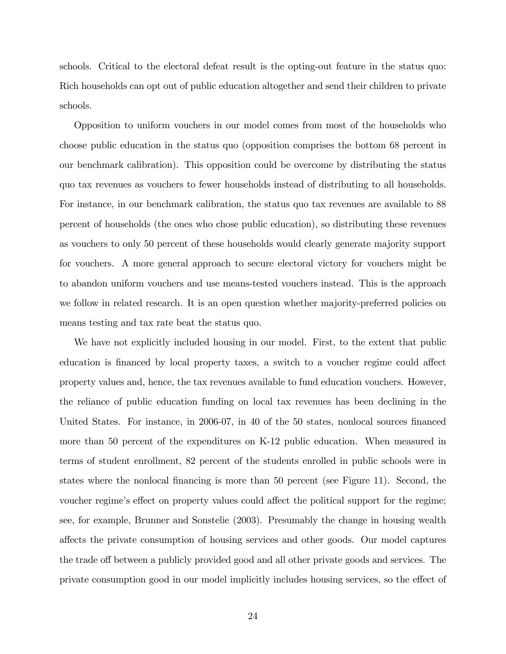schools. Critical to the electoral defeat result is the opting-out feature in the status quo: Rich households can opt out of public education altogether and send their children to private schools.

Opposition to uniform vouchers in our model comes from most of the households who choose public education in the status quo (opposition comprises the bottom 68 percent in our benchmark calibration). This opposition could be overcome by distributing the status quo tax revenues as vouchers to fewer households instead of distributing to all households. For instance, in our benchmark calibration, the status quo tax revenues are available to 88 percent of households (the ones who chose public education), so distributing these revenues as vouchers to only 50 percent of these households would clearly generate majority support for vouchers. A more general approach to secure electoral victory for vouchers might be to abandon uniform vouchers and use means-tested vouchers instead. This is the approach we follow in related research. It is an open question whether majority-preferred policies on means testing and tax rate beat the status quo.

We have not explicitly included housing in our model. First, to the extent that public education is financed by local property taxes, a switch to a voucher regime could affect property values and, hence, the tax revenues available to fund education vouchers. However, the reliance of public education funding on local tax revenues has been declining in the United States. For instance, in 2006-07, in 40 of the 50 states, nonlocal sources financed more than 50 percent of the expenditures on K-12 public education. When measured in terms of student enrollment, 82 percent of the students enrolled in public schools were in states where the nonlocal financing is more than 50 percent (see Figure 11). Second, the voucher regime's effect on property values could affect the political support for the regime; see, for example, Brunner and Sonstelie (2003). Presumably the change in housing wealth a§ects the private consumption of housing services and other goods. Our model captures the trade off between a publicly provided good and all other private goods and services. The private consumption good in our model implicitly includes housing services, so the effect of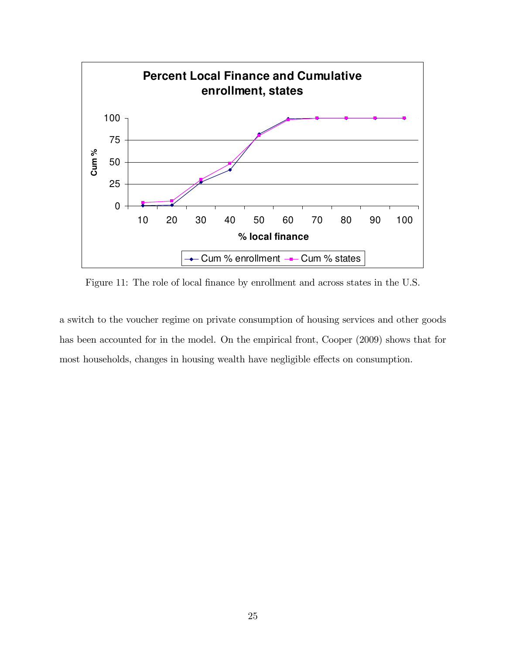

Figure 11: The role of local finance by enrollment and across states in the U.S.

a switch to the voucher regime on private consumption of housing services and other goods has been accounted for in the model. On the empirical front, Cooper (2009) shows that for most households, changes in housing wealth have negligible effects on consumption.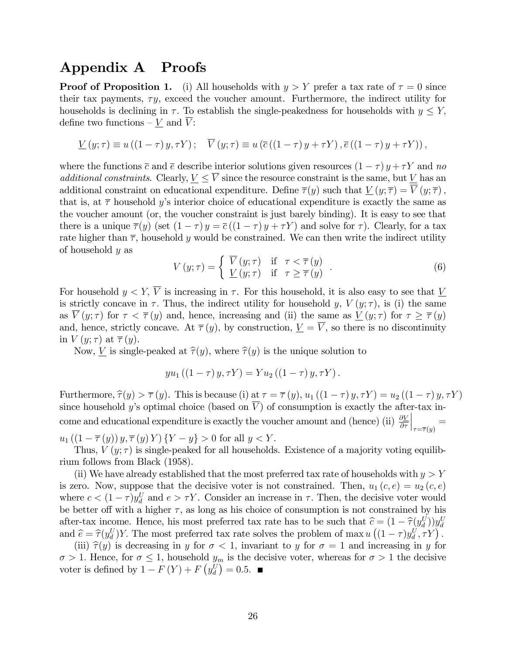# Appendix A Proofs

**Proof of Proposition 1.** (i) All households with  $y > Y$  prefer a tax rate of  $\tau = 0$  since their tax payments,  $\tau y$ , exceed the voucher amount. Furthermore, the indirect utility for households is declining in  $\tau$ . To establish the single-peakedness for households with  $y \leq Y$ , define two functions – V and  $\overline{V}$ :

$$
\underline{V}(y;\tau) \equiv u((1-\tau)y,\tau Y); \quad \overline{V}(y;\tau) \equiv u(\overline{c}((1-\tau)y+\tau Y),\overline{e}((1-\tau)y+\tau Y)),
$$

where the functions  $\bar{c}$  and  $\bar{e}$  describe interior solutions given resources  $(1 - \tau) y + \tau Y$  and no additional constraints. Clearly,  $\underline{V} \leq \overline{V}$  since the resource constraint is the same, but  $\underline{V}$  has an additional constraint on educational expenditure. Define  $\overline{\tau}(y)$  such that  $\underline{V}(y;\overline{\tau}) = \overline{V}(y;\overline{\tau})$ , that is, at  $\bar{\tau}$  household y's interior choice of educational expenditure is exactly the same as the voucher amount (or, the voucher constraint is just barely binding). It is easy to see that there is a unique  $\overline{\tau}(y)$  (set  $(1 - \tau) y = \overline{c} ((1 - \tau) y + \tau Y)$  and solve for  $\tau$ ). Clearly, for a tax rate higher than  $\bar{\tau}$ , household y would be constrained. We can then write the indirect utility of household  $y$  as

$$
V(y; \tau) = \begin{cases} \overline{V}(y; \tau) & \text{if } \tau < \overline{\tau}(y) \\ \underline{V}(y; \tau) & \text{if } \tau \ge \overline{\tau}(y) \end{cases} . \tag{6}
$$

For household  $y < Y$ ,  $\overline{V}$  is increasing in  $\tau$ . For this household, it is also easy to see that V is strictly concave in  $\tau$ . Thus, the indirect utility for household y,  $V(y; \tau)$ , is (i) the same as  $\overline{V}(y; \tau)$  for  $\tau < \overline{\tau}(y)$  and, hence, increasing and (ii) the same as  $\underline{V}(y; \tau)$  for  $\tau \geq \overline{\tau}(y)$ and, hence, strictly concave. At  $\overline{\tau}(y)$ , by construction,  $\underline{V} = \overline{V}$ , so there is no discontinuity in  $V(y; \tau)$  at  $\overline{\tau}(y)$ .

Now, V is single-peaked at  $\hat{\tau}(y)$ , where  $\hat{\tau}(y)$  is the unique solution to

$$
yu_1((1 - \tau) y, \tau Y) = Yu_2((1 - \tau) y, \tau Y).
$$

Furthermore,  $\hat{\tau}(y) > \overline{\tau}(y)$ . This is because (i) at  $\tau = \overline{\tau}(y)$ ,  $u_1 ((1 - \tau) y, \tau Y) = u_2 ((1 - \tau) y, \tau Y)$ since household y's optimal choice (based on  $\overline{V}$ ) of consumption is exactly the after-tax income and educational expenditure is exactly the voucher amount and (hence) (ii)  $\frac{\partial V}{\partial \tau}$  $\Big|_{\tau = \overline{\tau}(y)} =$  $u_1 ((1 - \overline{\tau}(y)) y, \overline{\tau}(y) Y) \{Y - y\} > 0$  for all  $y < Y$ .

Thus,  $V(y; \tau)$  is single-peaked for all households. Existence of a majority voting equilibrium follows from Black (1958).

(ii) We have already established that the most preferred tax rate of households with  $y > Y$ is zero. Now, suppose that the decisive voter is not constrained. Then,  $u_1(c, e) = u_2(c, e)$ where  $c < (1 - \tau) y_d^U$  and  $e > \tau Y$ . Consider an increase in  $\tau$ . Then, the decisive voter would be better off with a higher  $\tau$ , as long as his choice of consumption is not constrained by his after-tax income. Hence, his most preferred tax rate has to be such that  $\hat{c} = (1 - \hat{\tau}(y_d^U))y_d^U$ and  $\hat{e} = \hat{\tau}(y_d^U)Y$ . The most preferred tax rate solves the problem of max  $u((1 - \tau)y_d^U, \tau Y)$ .

(iii)  $\hat{\tau}(y)$  is decreasing in y for  $\sigma < 1$ , invariant to y for  $\sigma = 1$  and increasing in y for  $\sigma > 1$ . Hence, for  $\sigma \leq 1$ , household  $y_m$  is the decisive voter, whereas for  $\sigma > 1$  the decisive voter is defined by  $1 - F(Y) + F(y_d^U) = 0.5$ .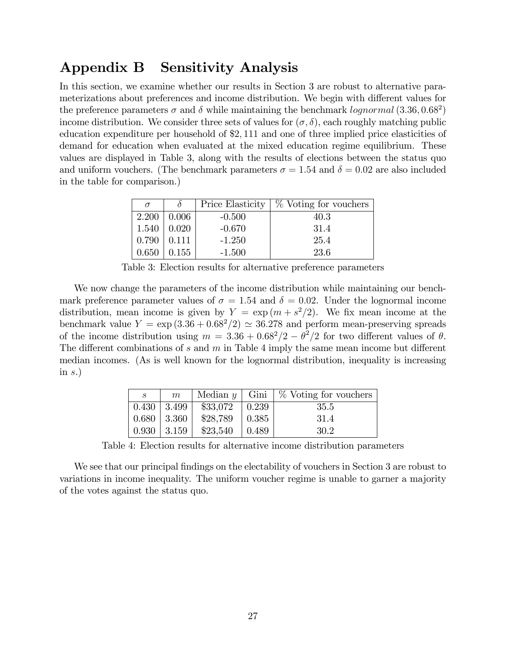# Appendix B Sensitivity Analysis

In this section, we examine whether our results in Section 3 are robust to alternative parameterizations about preferences and income distribution. We begin with different values for the preference parameters  $\sigma$  and  $\delta$  while maintaining the benchmark *lognormal* (3.36, 0.68<sup>2</sup>) income distribution. We consider three sets of values for  $(\sigma, \delta)$ , each roughly matching public education expenditure per household of \$2; 111 and one of three implied price elasticities of demand for education when evaluated at the mixed education regime equilibrium. These values are displayed in Table 3, along with the results of elections between the status quo and uniform vouchers. (The benchmark parameters  $\sigma = 1.54$  and  $\delta = 0.02$  are also included in the table for comparison.)

| $\sigma$ |       | Price Elasticity | $\%$ Voting for vouchers |
|----------|-------|------------------|--------------------------|
| 2.200    | 0.006 | $-0.500$         | 40.3                     |
| 1.540    | 0.020 | $-0.670$         | 31.4                     |
| 0.790    | 0.111 | $-1.250$         | 25.4                     |
| 0.650    | 0.155 | $-1.500$         | 23.6                     |

Table 3: Election results for alternative preference parameters

We now change the parameters of the income distribution while maintaining our benchmark preference parameter values of  $\sigma = 1.54$  and  $\delta = 0.02$ . Under the lognormal income distribution, mean income is given by  $Y = \exp(m + s^2/2)$ . We fix mean income at the benchmark value  $Y = \exp(3.36 + 0.68^2/2) \approx 36.278$  and perform mean-preserving spreads of the income distribution using  $m = 3.36 + 0.68^2/2 - \theta^2/2$  for two different values of  $\theta$ . The different combinations of s and m in Table 4 imply the same mean income but different median incomes. (As is well known for the lognormal distribution, inequality is increasing in  $s.$ )

| $\cdot$ S          | m     |          |              | Median $y \mid$ Gini $\mid$ % Voting for vouchers |
|--------------------|-------|----------|--------------|---------------------------------------------------|
| 0.430              | 3.499 | \$33,072 | 0.239        | 35.5                                              |
| $0.680 \mid 3.360$ |       | \$28,789 | $\mid 0.385$ | 31.4                                              |
| 0.930              | 3.159 | \$23,540 | 0.489        | 30.2                                              |

Table 4: Election results for alternative income distribution parameters

We see that our principal findings on the electability of vouchers in Section 3 are robust to variations in income inequality. The uniform voucher regime is unable to garner a majority of the votes against the status quo.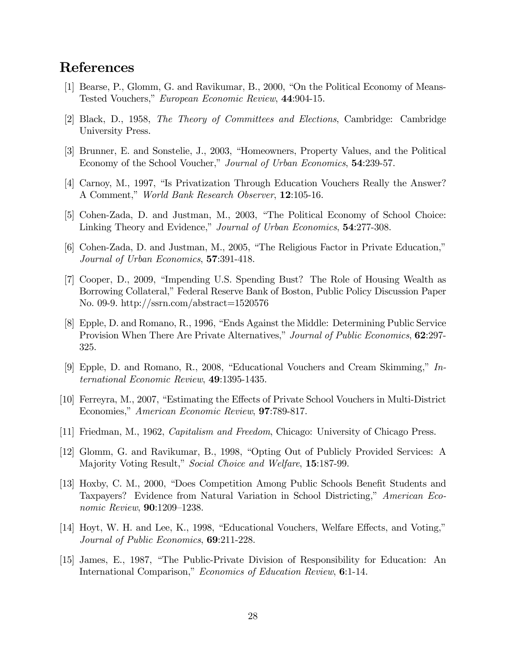# References

- [1] Bearse, P., Glomm, G. and Ravikumar, B., 2000, "On the Political Economy of Means-Tested Vouchers," European Economic Review, 44:904-15.
- [2] Black, D., 1958, The Theory of Committees and Elections, Cambridge: Cambridge University Press.
- [3] Brunner, E. and Sonstelie, J., 2003, "Homeowners, Property Values, and the Political Economy of the School Voucher," Journal of Urban Economics, 54:239-57.
- [4] Carnoy, M., 1997, "Is Privatization Through Education Vouchers Really the Answer? A Comment," World Bank Research Observer, 12:105-16.
- [5] Cohen-Zada, D. and Justman, M., 2003, "The Political Economy of School Choice: Linking Theory and Evidence," Journal of Urban Economics, 54:277-308.
- $[6]$  Cohen-Zada, D. and Justman, M., 2005, "The Religious Factor in Private Education," Journal of Urban Economics, 57:391-418.
- [7] Cooper, D., 2009, "Impending U.S. Spending Bust? The Role of Housing Wealth as Borrowing Collateral,î Federal Reserve Bank of Boston, Public Policy Discussion Paper No. 09-9. http://ssrn.com/abstract=1520576
- [8] Epple, D. and Romano, R., 1996, "Ends Against the Middle: Determining Public Service" Provision When There Are Private Alternatives," Journal of Public Economics, 62:297-325.
- [9] Epple, D. and Romano, R., 2008, "Educational Vouchers and Cream Skimming,"  $In$ ternational Economic Review, 49:1395-1435.
- [10] Ferreyra, M., 2007, "Estimating the Effects of Private School Vouchers in Multi-District Economies," American Economic Review, **97**:789-817.
- [11] Friedman, M., 1962, Capitalism and Freedom, Chicago: University of Chicago Press.
- [12] Glomm, G. and Ravikumar, B., 1998, "Opting Out of Publicly Provided Services: A Majority Voting Result," Social Choice and Welfare, 15:187-99.
- [13] Hoxby, C. M., 2000, "Does Competition Among Public Schools Benefit Students and Taxpayers? Evidence from Natural Variation in School Districting," American Economic Review,  $90:1209-1238$ .
- [14] Hoyt, W. H. and Lee, K., 1998, "Educational Vouchers, Welfare Effects, and Voting," Journal of Public Economics, 69:211-228.
- [15] James, E., 1987, "The Public-Private Division of Responsibility for Education: An International Comparison," Economics of Education Review, 6:1-14.